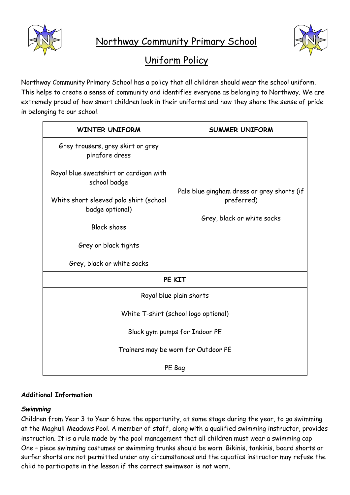



# Uniform Policy

Northway Community Primary School has a policy that all children should wear the school uniform. This helps to create a sense of community and identifies everyone as belonging to Northway. We are extremely proud of how smart children look in their uniforms and how they share the sense of pride in belonging to our school.

| <b>WINTER UNIFORM</b>                                     | <b>SUMMER UNIFORM</b>                                                                  |
|-----------------------------------------------------------|----------------------------------------------------------------------------------------|
| Grey trousers, grey skirt or grey<br>pinafore dress       | Pale blue gingham dress or grey shorts (if<br>preferred)<br>Grey, black or white socks |
| Royal blue sweatshirt or cardigan with<br>school badge    |                                                                                        |
| White short sleeved polo shirt (school<br>badge optional) |                                                                                        |
| <b>Black shoes</b>                                        |                                                                                        |
| Grey or black tights                                      |                                                                                        |
| Grey, black or white socks                                |                                                                                        |
| PE KIT                                                    |                                                                                        |
| Royal blue plain shorts                                   |                                                                                        |
| White T-shirt (school logo optional)                      |                                                                                        |
| Black gym pumps for Indoor PE                             |                                                                                        |
| Trainers may be worn for Outdoor PE                       |                                                                                        |
| PE Bag                                                    |                                                                                        |

## **Additional Information**

### *Swimming*

Children from Year 3 to Year 6 have the opportunity, at some stage during the year, to go swimming at the Maghull Meadows Pool. A member of staff, along with a qualified swimming instructor, provides instruction. It is a rule made by the pool management that all children must wear a swimming cap One – piece swimming costumes or swimming trunks should be worn. Bikinis, tankinis, board shorts or surfer shorts are not permitted under any circumstances and the aquatics instructor may refuse the child to participate in the lesson if the correct swimwear is not worn.